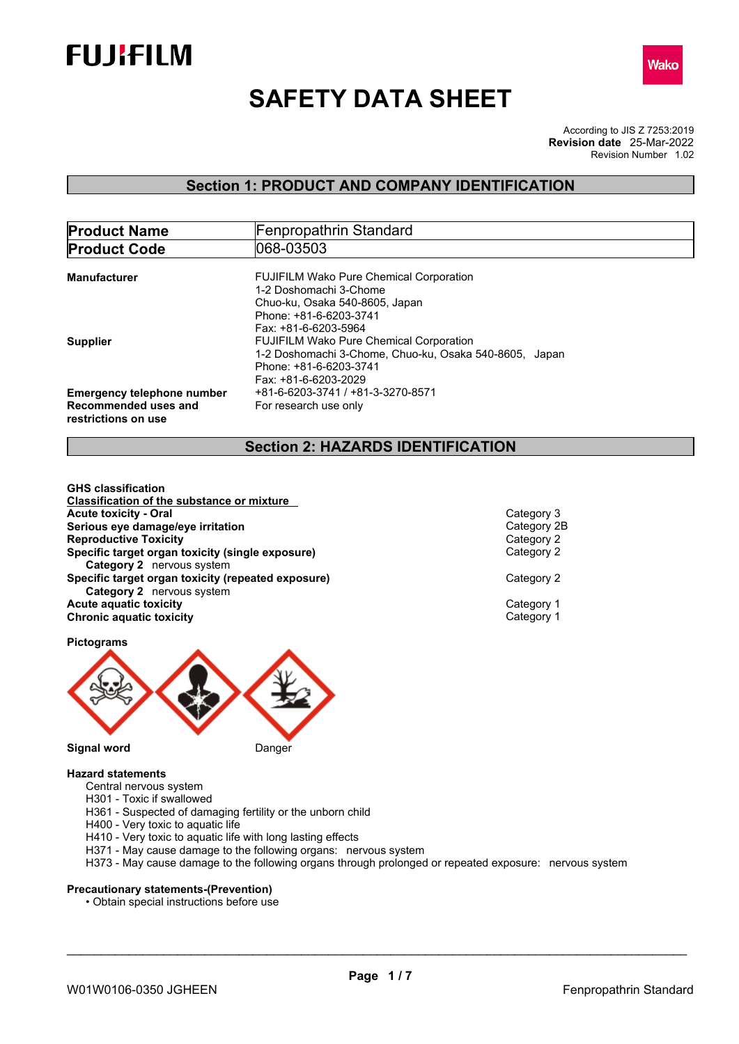



# **SAFETY DATA SHEET**

According to JIS Z 7253:2019 Revision Number 1.02 **Revision date** 25-Mar-2022

### **Section 1: PRODUCT AND COMPANY IDENTIFICATION**

| <b>Product Name</b>                         | Fenpropathrin Standard                                                 |  |  |
|---------------------------------------------|------------------------------------------------------------------------|--|--|
| <b>Product Code</b>                         | 1068-03503                                                             |  |  |
| Manufacturer                                | <b>FUJIFILM Wako Pure Chemical Corporation</b>                         |  |  |
|                                             | 1-2 Doshomachi 3-Chome<br>Chuo-ku, Osaka 540-8605, Japan               |  |  |
|                                             | Phone: +81-6-6203-3741                                                 |  |  |
| <b>Supplier</b>                             | Fax: +81-6-6203-5964<br><b>FUJIFILM Wako Pure Chemical Corporation</b> |  |  |
|                                             | 1-2 Doshomachi 3-Chome, Chuo-ku, Osaka 540-8605, Japan                 |  |  |
|                                             | Phone: +81-6-6203-3741<br>Fax: +81-6-6203-2029                         |  |  |
| <b>Emergency telephone number</b>           | +81-6-6203-3741 / +81-3-3270-8571                                      |  |  |
| Recommended uses and<br>restrictions on use | For research use only                                                  |  |  |

### **Section 2: HAZARDS IDENTIFICATION**

**GHS classification Classification of the substance or mixture Acute toxicity - Oral** Category 3 **Serious eye damage/eye irritation**<br> **Reproductive Toxicity**<br>
Category 2 **Reproductive Toxicity**<br> **Specific target organ toxicity (single exposure)**<br>
Category 2 **Specific target organ toxicity (single exposure) Category 2** nervous system **Specific target organ toxicity (repeated exposure) Category 2 Category 2** nervous system **Acute aquatic toxicity**<br> **Category 1**<br> **Category 1**<br>
Category 1 **Chronic aquatic toxicity** 





**Pictograms**

### **Hazard statements**

- Central nervous system
- H301 Toxic if swallowed
- H361 Suspected of damaging fertility or the unborn child
- H400 Very toxic to aquatic life
- H410 Very toxic to aquatic life with long lasting effects
- H371 May cause damage to the following organs: nervous system
- H373 May cause damage to the following organs through prolonged or repeated exposure: nervous system

### **Precautionary statements-(Prevention)**

• Obtain special instructions before use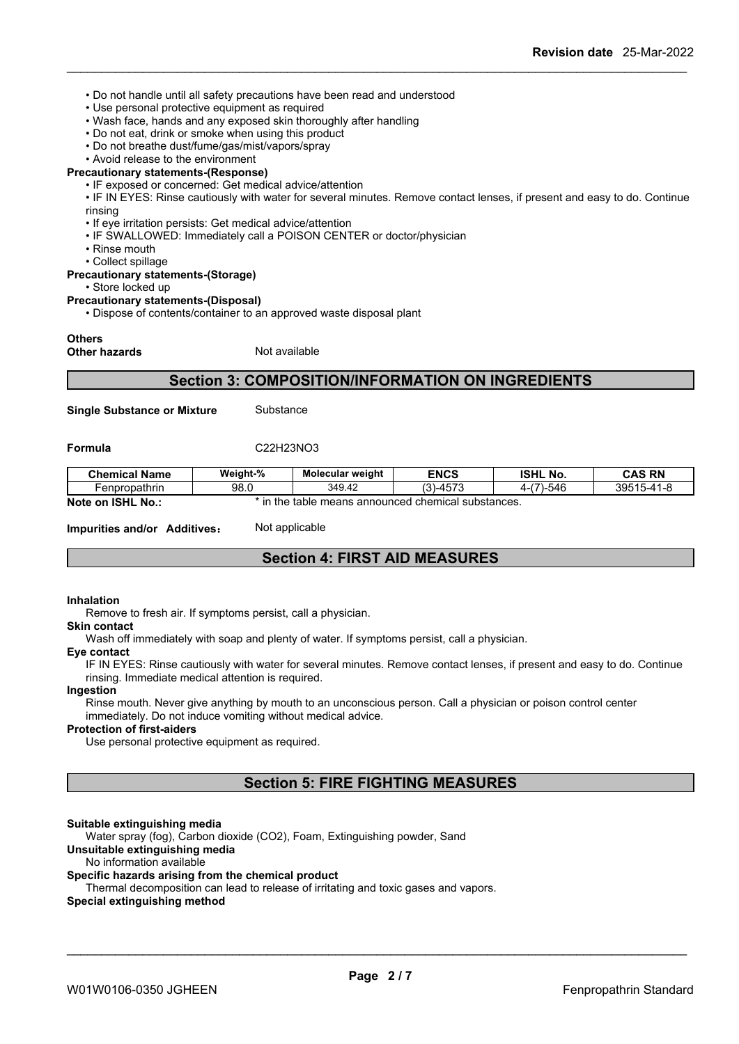- Do not handle until all safety precautions have been read and understood
- Use personal protective equipment as required
- Wash face, hands and any exposed skin thoroughly after handling
- Do not eat, drink or smoke when using this product
- Do not breathe dust/fume/gas/mist/vapors/spray
- Avoid release to the environment

### **Precautionary statements-(Response)**

- IF exposed or concerned: Get medical advice/attention
- IF IN EYES: Rinse cautiously with water for several minutes. Remove contact lenses, if present and easy to do. Continue rinsing
- If eye irritation persists: Get medical advice/attention
- IF SWALLOWED: Immediately call a POISON CENTER or doctor/physician
- Rinse mouth
- Collect spillage

#### **Precautionary statements-(Storage)**

• Store locked up

#### **Precautionary statements-(Disposal)**

• Dispose of contents/container to an approved waste disposal plant

#### **Others**

**Other hazards** Not available

### **Section 3: COMPOSITION/INFORMATION ON INGREDIENTS**

**Single Substance or Mixture** Substance

**Formula** C22H23NO3

| <b>Chemical Name</b>        | Weight-%                                                         | <b>Molecular weight</b> | <b>ENCS</b>          | <b>ISHL No.</b> | <b>CAS RN</b> |
|-----------------------------|------------------------------------------------------------------|-------------------------|----------------------|-----------------|---------------|
| Fenpropathrin               | 98.0                                                             | 349.42                  | $(3)-4573$<br>$\sim$ | -(7)-546<br>д.  | 39515-41-8    |
| Note on<br><b>ISHL No.:</b> | in the<br>in.<br>e means announced chemical substances.<br>table |                         |                      |                 |               |

**Impurities and/or Additives:** Not applicable

### **Section 4: FIRST AID MEASURES**

#### **Inhalation**

Remove to fresh air. If symptoms persist, call a physician.

#### **Skin contact**

Wash off immediately with soap and plenty of water. If symptoms persist, calla physician.

#### **Eye contact**

IF IN EYES: Rinse cautiously with water for several minutes. Remove contact lenses, if present and easy to do. Continue rinsing. Immediate medical attention is required.

#### **Ingestion**

Rinse mouth. Never give anything by mouth to an unconscious person. Call a physician or poison control center immediately. Do not induce vomiting without medical advice.

#### **Protection of first-aiders**

Use personal protective equipment as required.

### **Section 5: FIRE FIGHTING MEASURES**

### **Suitable extinguishing media**

Water spray (fog), Carbon dioxide (CO2), Foam, Extinguishing powder, Sand

### **Unsuitable extinguishing media**

#### No information available

### **Specific hazards arising from the chemical product**

Thermal decomposition can lead to release of irritating and toxic gases and vapors.

#### **Special extinguishing method**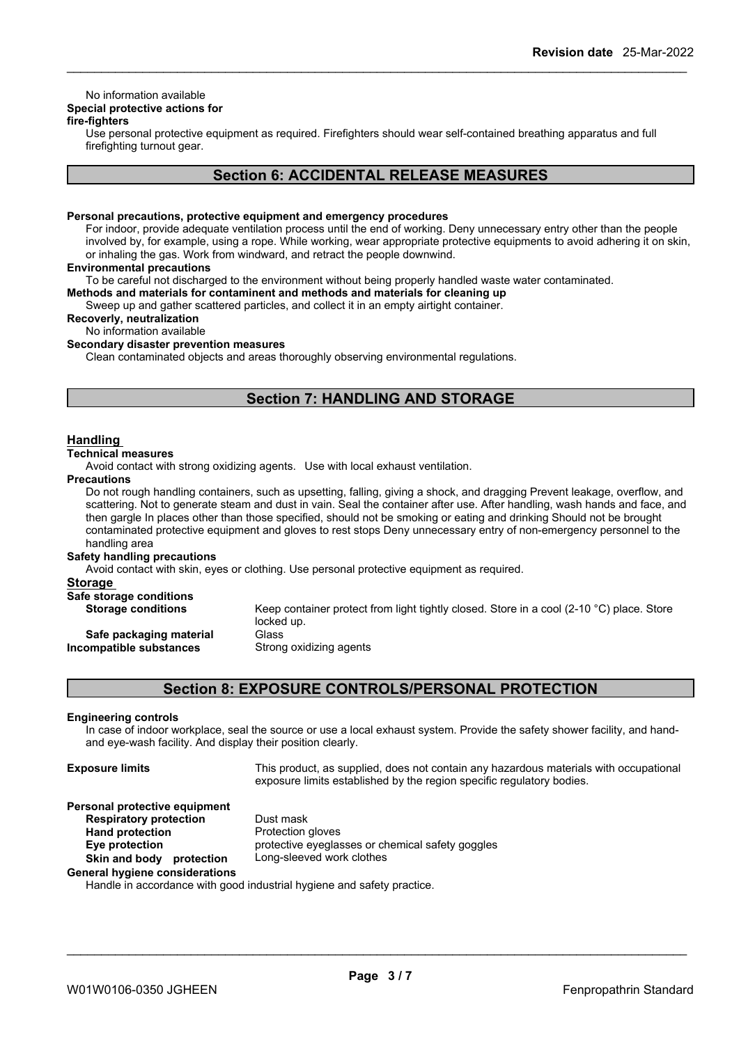### No information available

### **Special protective actions for**

### **fire-fighters**

Use personal protective equipment as required.Firefighters should wear self-contained breathing apparatus and full firefighting turnout gear.

### **Section 6: ACCIDENTAL RELEASE MEASURES**

#### **Personal precautions, protective equipment and emergency procedures**

For indoor, provide adequate ventilation process until the end of working. Deny unnecessary entry other than the people involved by, for example, using a rope. While working, wear appropriate protective equipments to avoid adhering it on skin, or inhaling the gas. Work from windward, and retract the people downwind.

#### **Environmental precautions**

To be careful not discharged to the environment without being properly handled waste water contaminated.

**Methods and materials for contaminent and methods and materials for cleaning up**

Sweep up and gather scattered particles, and collect it in an empty airtight container.

### **Recoverly, neutralization**

No information available

### **Secondary disaster prevention measures**

Clean contaminated objects and areas thoroughly observing environmental regulations.

### **Section 7: HANDLING AND STORAGE**

### **Handling**

### **Technical measures**

Avoid contact with strong oxidizing agents. Use with local exhaust ventilation.

#### **Precautions**

Do not rough handling containers, such as upsetting, falling, giving a shock, and dragging Prevent leakage, overflow, and scattering. Not to generate steam and dust in vain. Seal the container after use. After handling, wash hands and face, and then gargle In places other than those specified, should not be smoking or eating and drinking Should not be brought contaminated protective equipment and gloves to rest stops Deny unnecessary entry of non-emergency personnel to the handling area

#### **Safety handling precautions**

Avoid contact with skin, eyes or clothing. Use personal protective equipment as required.

| Storage                                            |                                                                                                                  |
|----------------------------------------------------|------------------------------------------------------------------------------------------------------------------|
| Safe storage conditions                            |                                                                                                                  |
| <b>Storage conditions</b>                          | Keep container protect from light tightly closed. Store in a cool (2-10 $^{\circ}$ C) place. Store<br>locked up. |
| Safe packaging material<br>Incompatible substances | Glass<br>Strong oxidizing agents                                                                                 |
|                                                    |                                                                                                                  |

### **Section 8: EXPOSURE CONTROLS/PERSONAL PROTECTION**

#### **Engineering controls**

In case of indoorworkplace, seal the source or use a local exhaust system. Provide the safety shower facility, and hand and eye-wash facility. And display their position clearly.

| <b>Exposure limits</b>                | This product, as supplied, does not contain any hazardous materials with occupational<br>exposure limits established by the region specific regulatory bodies. |  |  |
|---------------------------------------|----------------------------------------------------------------------------------------------------------------------------------------------------------------|--|--|
| Personal protective equipment         |                                                                                                                                                                |  |  |
| <b>Respiratory protection</b>         | Dust mask                                                                                                                                                      |  |  |
| <b>Hand protection</b>                | Protection gloves                                                                                                                                              |  |  |
| Eye protection                        | protective eyeglasses or chemical safety goggles                                                                                                               |  |  |
| Skin and body protection              | Long-sleeved work clothes                                                                                                                                      |  |  |
| <b>General hygiene considerations</b> | Handle in accordance with good industrial bygione and octoby prostice.                                                                                         |  |  |

Handle in accordance with good industrial hygiene and safety practice.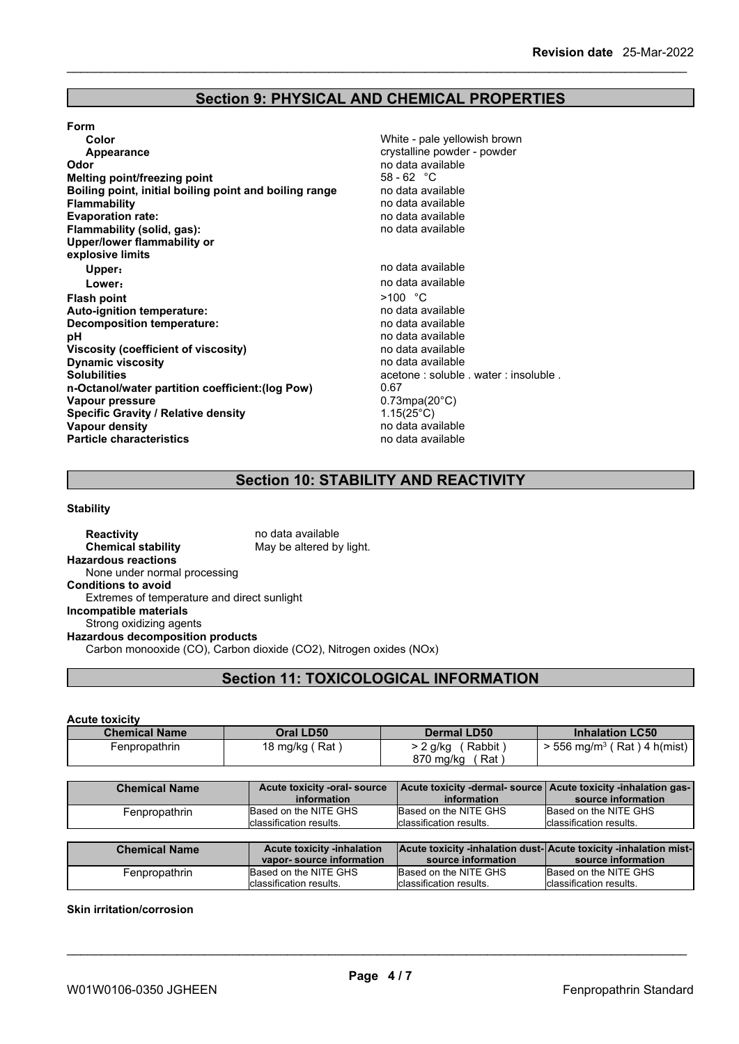### **Section 9: PHYSICAL AND CHEMICAL PROPERTIES**

#### **Form**

**Color** Color **Color Color Color Color Color Color Color Color Color Color Color Color Color Color Color Color Color Color Color Color Color Color Color Color Color Color Appearance crystalline powder - powder** - powder - powder - powder - powder - powder **Odor Odor** no data available no data available no data available no data available no data available no data available **Melting point/freezing point Boiling point, initial boiling point and boiling range** no data available **Flammability no data available**<br> **Evaporation rate:** The contract of the contract of the contract of the contract of the contract of the contract of the contract of the contract of the contract of the contract of the co **Evaporation** rate: **Flammability (solid, gas):** no data available **Upper/lower flammability or explosive limits Upper: no data available Lower:**<br> **Lower:**<br> **Sh point**<br> **Sh point**<br> **Sh point**<br> **Sh point**<br> **Sh point**<br> **Sh point**<br> **Sh point**<br> **Sh point**<br> **Sh point**<br> **Sh point**<br> **Sh point**<br> **Sh point**<br> **Sh point**<br> **Sh point**<br> **Sh point**<br> **Sh point**<br> **Sh point Flash point** >100 °C **Auto-ignition temperature:**<br> **Decomposition temperature:** Network and the modata available **Decomposition temperature: pH** no data available<br>**Viscosity (coefficient of viscosity)** no data available **Viscosity (coefficient of viscosity)** no data available **Dynamic** viscosity **Solubilities** acetone : soluble . water : insoluble .<br> **n-Octanol/water partition coefficient: (log Pow)** 0.67 **n-Octanol/water partition coefficient:(log Pow)** 0.67 **Vapour pressure Specific Gravity / Relative density** 1.15(25°C)<br> **Vapour density** 1.15(25°C) **Particle characteristics** 

**Vapour density** no data available

### **Section 10: STABILITY AND REACTIVITY**

### **Stability**

**Reactivity** no data available **Chemical stability** May be altered by light. **Hazardous reactions** None under normal processing **Conditions to avoid** Extremes of temperature and direct sunlight **Incompatible materials** Strong oxidizing agents **Hazardous decomposition products** Carbon monooxide (CO), Carbon dioxide (CO2), Nitrogen oxides (NOx)

### **Section 11: TOXICOLOGICAL INFORMATION**

#### **Acute toxicity**

| <b>Chemical Name</b> | Oral LD50      | <b>Dermal LD50</b> | <b>Inhalation LC50</b>                          |
|----------------------|----------------|--------------------|-------------------------------------------------|
| Fenpropathrin        | 18 mg/kg (Rat) | Rabbit<br>2 g/kg   | $\cdot$ 556 mg/m <sup>3</sup> ( Rat ) 4 h(mist) |
|                      |                | 870 mg/kg<br>Rat   |                                                 |

| <b>Chemical Name</b> | Acute toxicity -oral- source<br>information                   | Acute toxicity -dermal- source   Acute toxicity -inhalation gas-  <br>information       | source information                                        |
|----------------------|---------------------------------------------------------------|-----------------------------------------------------------------------------------------|-----------------------------------------------------------|
| Fenpropathrin        | Based on the NITE GHS<br>classification results.              | Based on the NITE GHS<br>classification results.                                        | Based on the NITE GHS<br>Iclassification results.         |
|                      |                                                               |                                                                                         |                                                           |
|                      |                                                               |                                                                                         |                                                           |
| <b>Chemical Name</b> | <b>Acute toxicity -inhalation</b><br>vapor-source information | Acute toxicity -inhalation dust- Acute toxicity -inhalation mist-<br>source information | source information                                        |
| Fenpropathrin        | Based on the NITE GHS<br>Iclassification results.             | Based on the NITE GHS<br>classification results.                                        | Based on the NITE GHS<br><b>I</b> classification results. |

#### **Skin irritation/corrosion**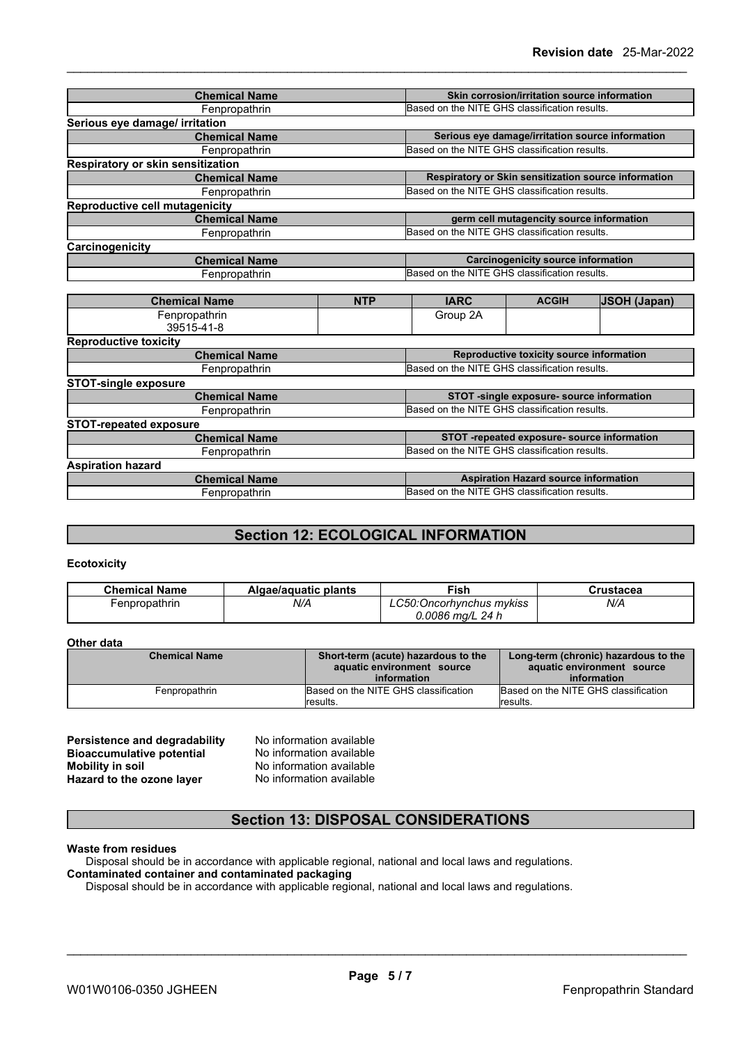| <b>Chemical Name</b>              |            |                                                      | Skin corrosion/irritation source information |                                                  |
|-----------------------------------|------------|------------------------------------------------------|----------------------------------------------|--------------------------------------------------|
| Fenpropathrin                     |            | Based on the NITE GHS classification results.        |                                              |                                                  |
| Serious eye damage/ irritation    |            |                                                      |                                              |                                                  |
| <b>Chemical Name</b>              |            |                                                      |                                              | Serious eye damage/irritation source information |
| Fenpropathrin                     |            | Based on the NITE GHS classification results.        |                                              |                                                  |
| Respiratory or skin sensitization |            |                                                      |                                              |                                                  |
| <b>Chemical Name</b>              |            | Respiratory or Skin sensitization source information |                                              |                                                  |
| Fenpropathrin                     |            | Based on the NITE GHS classification results.        |                                              |                                                  |
| Reproductive cell mutagenicity    |            |                                                      |                                              |                                                  |
| <b>Chemical Name</b>              |            |                                                      | germ cell mutagencity source information     |                                                  |
| Fenpropathrin                     |            | Based on the NITE GHS classification results.        |                                              |                                                  |
| Carcinogenicity                   |            |                                                      |                                              |                                                  |
| <b>Chemical Name</b>              |            | <b>Carcinogenicity source information</b>            |                                              |                                                  |
| Fenpropathrin                     |            | Based on the NITE GHS classification results.        |                                              |                                                  |
|                                   |            |                                                      |                                              |                                                  |
| <b>Chemical Name</b>              | <b>NTP</b> | <b>IARC</b>                                          | <b>ACGIH</b>                                 | <b>JSOH (Japan)</b>                              |
| Fenpropathrin                     |            |                                                      |                                              |                                                  |
| 39515-41-8                        |            |                                                      |                                              |                                                  |
| <b>Reproductive toxicity</b>      |            |                                                      |                                              |                                                  |
| <b>Chemical Name</b>              |            | Reproductive toxicity source information             |                                              |                                                  |
| Fenpropathrin                     |            | Based on the NITE GHS classification results.        |                                              |                                                  |
| <b>STOT-single exposure</b>       |            |                                                      |                                              |                                                  |
| <b>Chemical Name</b>              |            | STOT -single exposure- source information            |                                              |                                                  |
| Fenpropathrin                     |            | Based on the NITE GHS classification results.        |                                              |                                                  |
| <b>STOT-repeated exposure</b>     |            |                                                      |                                              |                                                  |
| <b>Chemical Name</b>              |            | STOT -repeated exposure- source information          |                                              |                                                  |
| Fenpropathrin                     |            | Based on the NITE GHS classification results.        |                                              |                                                  |
| <b>Aspiration hazard</b>          |            |                                                      |                                              |                                                  |

| $\cdots$<br><b>GHS</b><br><b>NITE</b><br>on the<br>i classification<br>≧results.<br>∴unpr<br>ΩI<br>vaulill. | han | ו Hazard source information<br><b>Aspiration</b> |
|-------------------------------------------------------------------------------------------------------------|-----|--------------------------------------------------|
|                                                                                                             |     |                                                  |

### **Section 12: ECOLOGICAL INFORMATION**

### **Ecotoxicity**

| <b>Chemical Name</b> | Algae/aguatic plants | Fish                     | `rustacea |
|----------------------|----------------------|--------------------------|-----------|
| -enpropathrin        | N/A                  | LC50:Oncorhynchus mykiss | N/A       |
|                      |                      | $0.0086$ ma/L 24 h       |           |

### **Other data**

| <b>Chemical Name</b> | Short-term (acute) hazardous to the<br>aquatic environment source<br>information | Long-term (chronic) hazardous to the<br>aquatic environment source<br>information |
|----------------------|----------------------------------------------------------------------------------|-----------------------------------------------------------------------------------|
| Fenpropathrin        | Based on the NITE GHS classification                                             | Based on the NITE GHS classification                                              |
|                      | <i><b>Iresults.</b></i>                                                          | results.                                                                          |

| <b>Persistence and degradability</b> |
|--------------------------------------|
| <b>Bioaccumulative potential</b>     |
| Mobility in soil                     |
| Hazard to the ozone layer            |

**No information available No information available Mobility in soil** No information available **Hazard to the ozone layer** No information available

### **Section 13: DISPOSAL CONSIDERATIONS**

### **Waste from residues**

Disposal should be in accordance with applicable regional, national and local laws and regulations.

### **Contaminated container and contaminated packaging**

Disposal should be in accordance with applicable regional, national and local laws and regulations.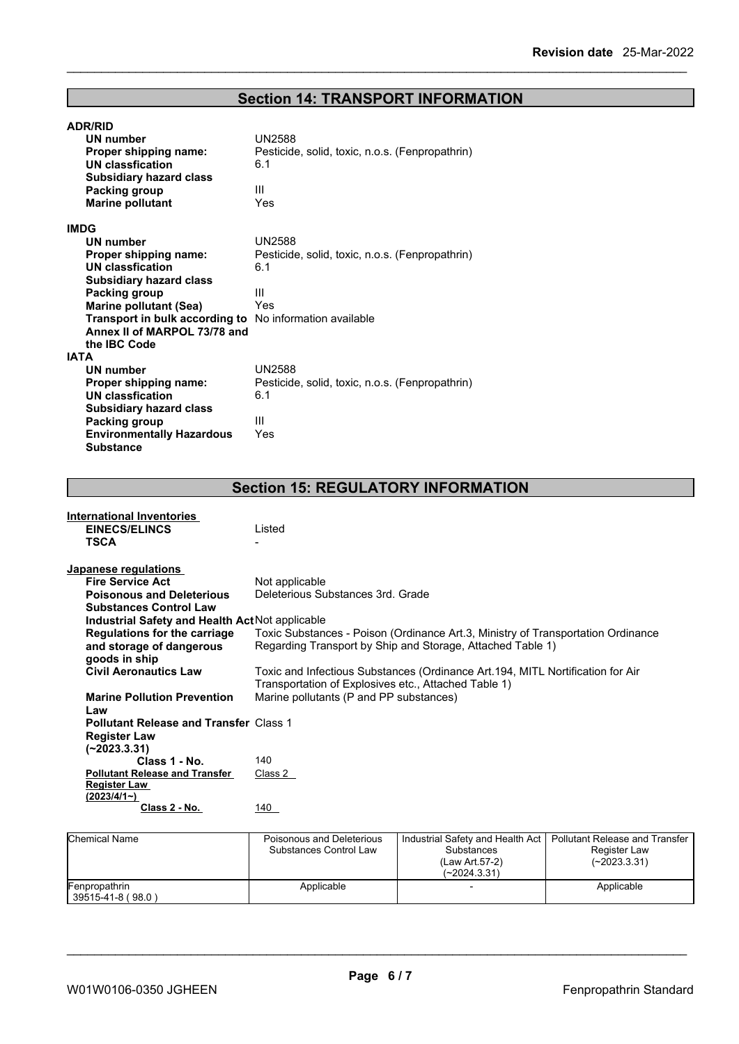# **Section 14: TRANSPORT INFORMATION**

| <b>ADR/RID</b>                                                 |                                                 |
|----------------------------------------------------------------|-------------------------------------------------|
| UN number                                                      | <b>UN2588</b>                                   |
| Proper shipping name:                                          | Pesticide, solid, toxic, n.o.s. (Fenpropathrin) |
| UN classfication                                               | 6.1                                             |
| <b>Subsidiary hazard class</b>                                 |                                                 |
| Packing group                                                  | Ш                                               |
| <b>Marine pollutant</b>                                        | Yes                                             |
| <b>IMDG</b>                                                    |                                                 |
| UN number                                                      | <b>UN2588</b>                                   |
| Proper shipping name:                                          | Pesticide, solid, toxic, n.o.s. (Fenpropathrin) |
| <b>UN classfication</b>                                        | 6.1                                             |
| <b>Subsidiary hazard class</b>                                 |                                                 |
| Packing group                                                  | Ш                                               |
| <b>Marine pollutant (Sea)</b>                                  | Yes                                             |
| <b>Transport in bulk according to</b> No information available |                                                 |
| Annex II of MARPOL 73/78 and                                   |                                                 |
| the IBC Code                                                   |                                                 |
| <b>IATA</b>                                                    |                                                 |
| UN number                                                      | <b>UN2588</b>                                   |
| Proper shipping name:                                          | Pesticide, solid, toxic, n.o.s. (Fenpropathrin) |
| UN classfication                                               | 6.1                                             |
| <b>Subsidiary hazard class</b>                                 |                                                 |
| Packing group                                                  | Ш                                               |
| <b>Environmentally Hazardous</b>                               | Yes                                             |
| <b>Substance</b>                                               |                                                 |

# **Section 15: REGULATORY INFORMATION**

| <b>International Inventories</b>                |                                                                                  |
|-------------------------------------------------|----------------------------------------------------------------------------------|
| <b>EINECS/ELINCS</b>                            | Listed                                                                           |
| <b>TSCA</b>                                     |                                                                                  |
|                                                 |                                                                                  |
| Japanese regulations                            |                                                                                  |
| <b>Fire Service Act</b>                         | Not applicable                                                                   |
| <b>Poisonous and Deleterious</b>                | Deleterious Substances 3rd. Grade                                                |
| <b>Substances Control Law</b>                   |                                                                                  |
| Industrial Safety and Health Act Not applicable |                                                                                  |
| Regulations for the carriage                    | Toxic Substances - Poison (Ordinance Art.3, Ministry of Transportation Ordinance |
| and storage of dangerous                        | Regarding Transport by Ship and Storage, Attached Table 1)                       |
| goods in ship                                   |                                                                                  |
| <b>Civil Aeronautics Law</b>                    | Toxic and Infectious Substances (Ordinance Art.194, MITL Nortification for Air   |
|                                                 | Transportation of Explosives etc., Attached Table 1)                             |
| <b>Marine Pollution Prevention</b>              | Marine pollutants (P and PP substances)                                          |
| Law                                             |                                                                                  |
| <b>Pollutant Release and Transfer Class 1</b>   |                                                                                  |
| <b>Register Law</b>                             |                                                                                  |
| $(-2023.3.31)$                                  |                                                                                  |
| Class 1 - No.                                   | 140                                                                              |
| <b>Pollutant Release and Transfer</b>           | Class 2                                                                          |
| <b>Register Law</b>                             |                                                                                  |
| (2023/4/1~)                                     | 140                                                                              |
| Class 2 - No.                                   |                                                                                  |
|                                                 |                                                                                  |

| <b>Chemical Name</b>               | Poisonous and Deleterious<br>Substances Control Law | Industrial Safety and Health Act<br>Substances<br>(Law Art 57-2)<br>(~2024.3.31) | Pollutant Release and Transfer<br>Register Law<br>(~2023.3.31) |
|------------------------------------|-----------------------------------------------------|----------------------------------------------------------------------------------|----------------------------------------------------------------|
| Fenpropathrin<br>39515-41-8 (98.0) | Applicable                                          |                                                                                  | Applicable                                                     |